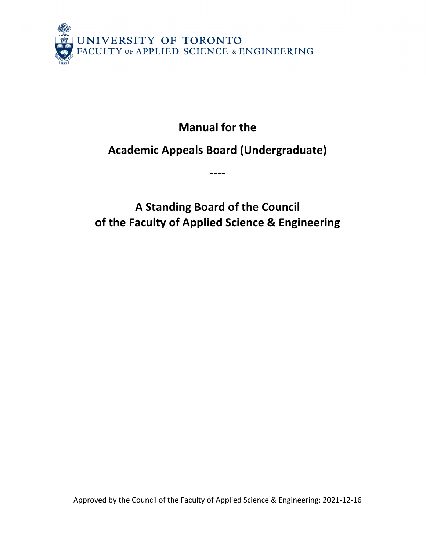

**Manual for the**

# **Academic Appeals Board (Undergraduate)**

**----**

**A Standing Board of the Council of the Faculty of Applied Science & Engineering**

Approved by the Council of the Faculty of Applied Science & Engineering: 2021-12-16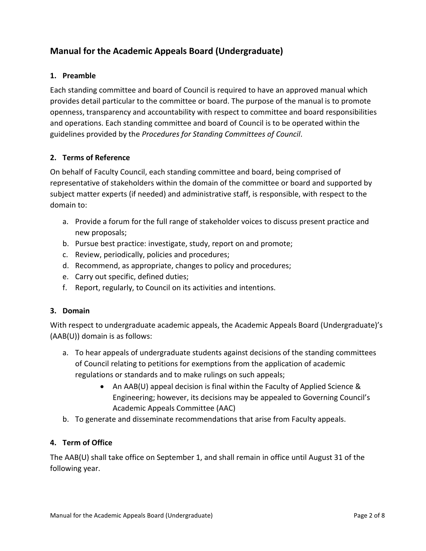# **Manual for the Academic Appeals Board (Undergraduate)**

#### **1. Preamble**

Each standing committee and board of Council is required to have an approved manual which provides detail particular to the committee or board. The purpose of the manual is to promote openness, transparency and accountability with respect to committee and board responsibilities and operations. Each standing committee and board of Council is to be operated within the guidelines provided by the *Procedures for Standing Committees of Council*.

#### **2. Terms of Reference**

On behalf of Faculty Council, each standing committee and board, being comprised of representative of stakeholders within the domain of the committee or board and supported by subject matter experts (if needed) and administrative staff, is responsible, with respect to the domain to:

- a. Provide a forum for the full range of stakeholder voices to discuss present practice and new proposals;
- b. Pursue best practice: investigate, study, report on and promote;
- c. Review, periodically, policies and procedures;
- d. Recommend, as appropriate, changes to policy and procedures;
- e. Carry out specific, defined duties;
- f. Report, regularly, to Council on its activities and intentions.

#### **3. Domain**

With respect to undergraduate academic appeals, the Academic Appeals Board (Undergraduate)'s (AAB(U)) domain is as follows:

- a. To hear appeals of undergraduate students against decisions of the standing committees of Council relating to petitions for exemptions from the application of academic regulations or standards and to make rulings on such appeals;
	- An AAB(U) appeal decision is final within the Faculty of Applied Science & Engineering; however, its decisions may be appealed to Governing Council's Academic Appeals Committee (AAC)
- b. To generate and disseminate recommendations that arise from Faculty appeals.

#### **4. Term of Office**

The AAB(U) shall take office on September 1, and shall remain in office until August 31 of the following year.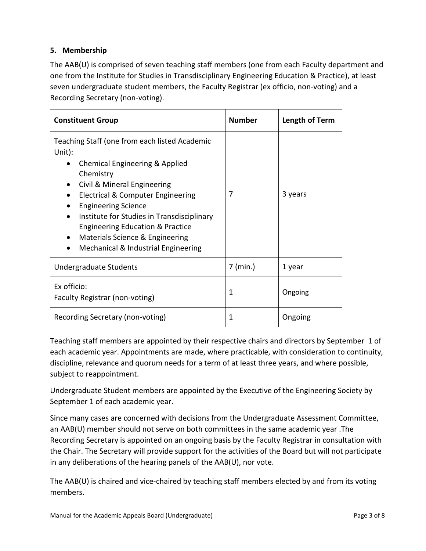# **5. Membership**

The AAB(U) is comprised of seven teaching staff members (one from each Faculty department and one from the Institute for Studies in Transdisciplinary Engineering Education & Practice), at least seven undergraduate student members, the Faculty Registrar (ex officio, non-voting) and a Recording Secretary (non-voting).

| <b>Constituent Group</b>                                                                                                                                                                                                                                                                                                                                                                                       | <b>Number</b> | Length of Term |
|----------------------------------------------------------------------------------------------------------------------------------------------------------------------------------------------------------------------------------------------------------------------------------------------------------------------------------------------------------------------------------------------------------------|---------------|----------------|
| Teaching Staff (one from each listed Academic<br>Unit):<br>Chemical Engineering & Applied<br>$\bullet$<br>Chemistry<br>Civil & Mineral Engineering<br>Electrical & Computer Engineering<br><b>Engineering Science</b><br>Institute for Studies in Transdisciplinary<br>$\bullet$<br><b>Engineering Education &amp; Practice</b><br>Materials Science & Engineering<br>٠<br>Mechanical & Industrial Engineering | 7             | 3 years        |
| Undergraduate Students                                                                                                                                                                                                                                                                                                                                                                                         | $7$ (min.)    | 1 year         |
| Ex officio:<br>Faculty Registrar (non-voting)                                                                                                                                                                                                                                                                                                                                                                  | 1             | Ongoing        |
| Recording Secretary (non-voting)                                                                                                                                                                                                                                                                                                                                                                               | 1             | Ongoing        |

Teaching staff members are appointed by their respective chairs and directors by September 1 of each academic year. Appointments are made, where practicable, with consideration to continuity, discipline, relevance and quorum needs for a term of at least three years, and where possible, subject to reappointment.

Undergraduate Student members are appointed by the Executive of the Engineering Society by September 1 of each academic year.

Since many cases are concerned with decisions from the Undergraduate Assessment Committee, an AAB(U) member should not serve on both committees in the same academic year .The Recording Secretary is appointed on an ongoing basis by the Faculty Registrar in consultation with the Chair. The Secretary will provide support for the activities of the Board but will not participate in any deliberations of the hearing panels of the AAB(U), nor vote.

The AAB(U) is chaired and vice-chaired by teaching staff members elected by and from its voting members.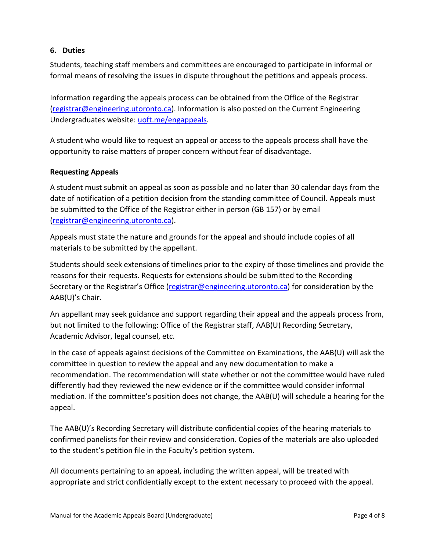#### **6. Duties**

Students, teaching staff members and committees are encouraged to participate in informal or formal means of resolving the issues in dispute throughout the petitions and appeals process.

Information regarding the appeals process can be obtained from the Office of the Registrar (registrar@engineering.utoronto.ca). Information is also posted on the Current Engineering Undergraduates website: [uoft.me/engappeals.](https://uoft.me/engappeals)

A student who would like to request an appeal or access to the appeals process shall have the opportunity to raise matters of proper concern without fear of disadvantage.

#### **Requesting Appeals**

A student must submit an appeal as soon as possible and no later than 30 calendar days from the date of notification of a petition decision from the standing committee of Council. Appeals must be submitted to the Office of the Registrar either in person (GB 157) or by email [\(registrar@engineering.utoronto.ca\)](mailto:registrar@engineering.utoronto.ca).

Appeals must state the nature and grounds for the appeal and should include copies of all materials to be submitted by the appellant.

Students should seek extensions of timelines prior to the expiry of those timelines and provide the reasons for their requests. Requests for extensions should be submitted to the Recording Secretary or the Registrar's Office [\(registrar@engineering.utoronto.ca\)](mailto:registrar@engineering.utoronto.ca) for consideration by the AAB(U)'s Chair.

An appellant may seek guidance and support regarding their appeal and the appeals process from, but not limited to the following: Office of the Registrar staff, AAB(U) Recording Secretary, Academic Advisor, legal counsel, etc.

In the case of appeals against decisions of the Committee on Examinations, the AAB(U) will ask the committee in question to review the appeal and any new documentation to make a recommendation. The recommendation will state whether or not the committee would have ruled differently had they reviewed the new evidence or if the committee would consider informal mediation. If the committee's position does not change, the AAB(U) will schedule a hearing for the appeal.

The AAB(U)'s Recording Secretary will distribute confidential copies of the hearing materials to confirmed panelists for their review and consideration. Copies of the materials are also uploaded to the student's petition file in the Faculty's petition system.

All documents pertaining to an appeal, including the written appeal, will be treated with appropriate and strict confidentially except to the extent necessary to proceed with the appeal.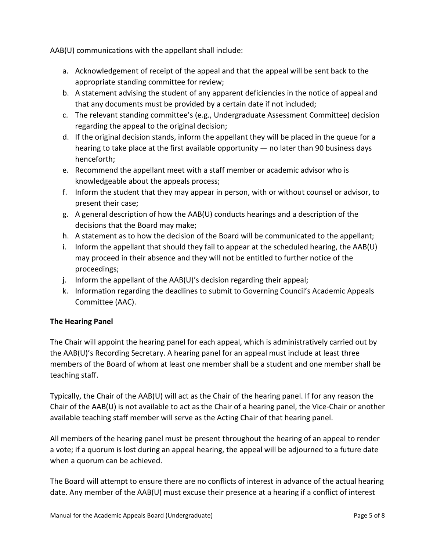AAB(U) communications with the appellant shall include:

- a. Acknowledgement of receipt of the appeal and that the appeal will be sent back to the appropriate standing committee for review;
- b. A statement advising the student of any apparent deficiencies in the notice of appeal and that any documents must be provided by a certain date if not included;
- c. The relevant standing committee's (e.g., Undergraduate Assessment Committee) decision regarding the appeal to the original decision;
- d. If the original decision stands, inform the appellant they will be placed in the queue for a hearing to take place at the first available opportunity — no later than 90 business days henceforth;
- e. Recommend the appellant meet with a staff member or academic advisor who is knowledgeable about the appeals process;
- f. Inform the student that they may appear in person, with or without counsel or advisor, to present their case;
- g. A general description of how the AAB(U) conducts hearings and a description of the decisions that the Board may make;
- h. A statement as to how the decision of the Board will be communicated to the appellant;
- i. Inform the appellant that should they fail to appear at the scheduled hearing, the  $AAB(U)$ may proceed in their absence and they will not be entitled to further notice of the proceedings;
- j. Inform the appellant of the AAB(U)'s decision regarding their appeal;
- k. Information regarding the deadlines to submit to Governing Council's Academic Appeals Committee (AAC).

# **The Hearing Panel**

The Chair will appoint the hearing panel for each appeal, which is administratively carried out by the AAB(U)'s Recording Secretary. A hearing panel for an appeal must include at least three members of the Board of whom at least one member shall be a student and one member shall be teaching staff.

Typically, the Chair of the AAB(U) will act as the Chair of the hearing panel. If for any reason the Chair of the AAB(U) is not available to act as the Chair of a hearing panel, the Vice-Chair or another available teaching staff member will serve as the Acting Chair of that hearing panel.

All members of the hearing panel must be present throughout the hearing of an appeal to render a vote; if a quorum is lost during an appeal hearing, the appeal will be adjourned to a future date when a quorum can be achieved.

The Board will attempt to ensure there are no conflicts of interest in advance of the actual hearing date. Any member of the AAB(U) must excuse their presence at a hearing if a conflict of interest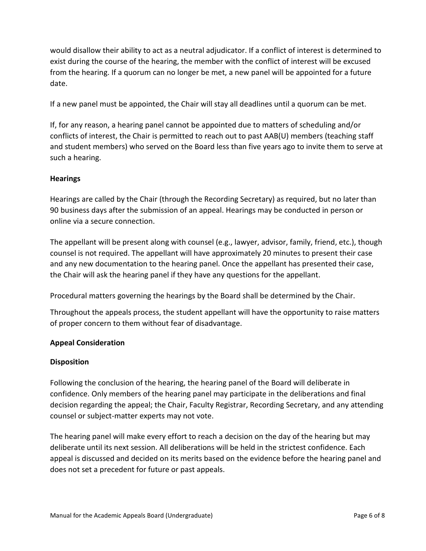would disallow their ability to act as a neutral adjudicator. If a conflict of interest is determined to exist during the course of the hearing, the member with the conflict of interest will be excused from the hearing. If a quorum can no longer be met, a new panel will be appointed for a future date.

If a new panel must be appointed, the Chair will stay all deadlines until a quorum can be met.

If, for any reason, a hearing panel cannot be appointed due to matters of scheduling and/or conflicts of interest, the Chair is permitted to reach out to past AAB(U) members (teaching staff and student members) who served on the Board less than five years ago to invite them to serve at such a hearing.

# **Hearings**

Hearings are called by the Chair (through the Recording Secretary) as required, but no later than 90 business days after the submission of an appeal. Hearings may be conducted in person or online via a secure connection.

The appellant will be present along with counsel (e.g., lawyer, advisor, family, friend, etc.), though counsel is not required. The appellant will have approximately 20 minutes to present their case and any new documentation to the hearing panel. Once the appellant has presented their case, the Chair will ask the hearing panel if they have any questions for the appellant.

Procedural matters governing the hearings by the Board shall be determined by the Chair.

Throughout the appeals process, the student appellant will have the opportunity to raise matters of proper concern to them without fear of disadvantage.

#### **Appeal Consideration**

#### **Disposition**

Following the conclusion of the hearing, the hearing panel of the Board will deliberate in confidence. Only members of the hearing panel may participate in the deliberations and final decision regarding the appeal; the Chair, Faculty Registrar, Recording Secretary, and any attending counsel or subject-matter experts may not vote.

The hearing panel will make every effort to reach a decision on the day of the hearing but may deliberate until its next session. All deliberations will be held in the strictest confidence. Each appeal is discussed and decided on its merits based on the evidence before the hearing panel and does not set a precedent for future or past appeals.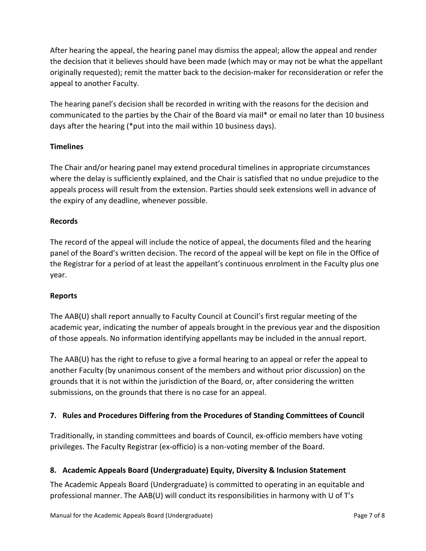After hearing the appeal, the hearing panel may dismiss the appeal; allow the appeal and render the decision that it believes should have been made (which may or may not be what the appellant originally requested); remit the matter back to the decision-maker for reconsideration or refer the appeal to another Faculty.

The hearing panel's decision shall be recorded in writing with the reasons for the decision and communicated to the parties by the Chair of the Board via mail\* or email no later than 10 business days after the hearing (\*put into the mail within 10 business days).

# **Timelines**

The Chair and/or hearing panel may extend procedural timelines in appropriate circumstances where the delay is sufficiently explained, and the Chair is satisfied that no undue prejudice to the appeals process will result from the extension. Parties should seek extensions well in advance of the expiry of any deadline, whenever possible.

# **Records**

The record of the appeal will include the notice of appeal, the documents filed and the hearing panel of the Board's written decision. The record of the appeal will be kept on file in the Office of the Registrar for a period of at least the appellant's continuous enrolment in the Faculty plus one year.

# **Reports**

The AAB(U) shall report annually to Faculty Council at Council's first regular meeting of the academic year, indicating the number of appeals brought in the previous year and the disposition of those appeals. No information identifying appellants may be included in the annual report.

The AAB(U) has the right to refuse to give a formal hearing to an appeal or refer the appeal to another Faculty (by unanimous consent of the members and without prior discussion) on the grounds that it is not within the jurisdiction of the Board, or, after considering the written submissions, on the grounds that there is no case for an appeal.

# **7. Rules and Procedures Differing from the Procedures of Standing Committees of Council**

Traditionally, in standing committees and boards of Council, ex-officio members have voting privileges. The Faculty Registrar (ex-officio) is a non-voting member of the Board.

# **8. Academic Appeals Board (Undergraduate) Equity, Diversity & Inclusion Statement**

The Academic Appeals Board (Undergraduate) is committed to operating in an equitable and professional manner. The AAB(U) will conduct its responsibilities in harmony with U of T's